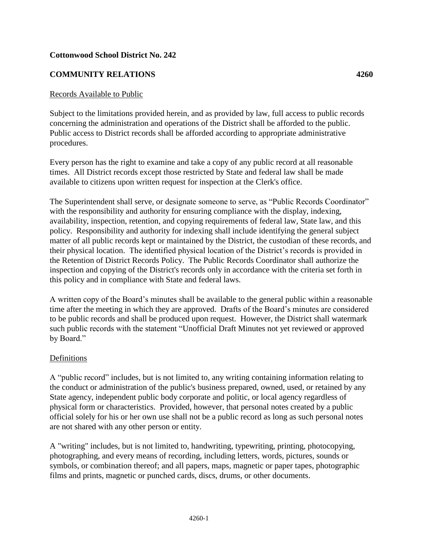## **Cottonwood School District No. 242**

# **COMMUNITY RELATIONS 4260**

### Records Available to Public

Subject to the limitations provided herein, and as provided by law, full access to public records concerning the administration and operations of the District shall be afforded to the public. Public access to District records shall be afforded according to appropriate administrative procedures.

Every person has the right to examine and take a copy of any public record at all reasonable times. All District records except those restricted by State and federal law shall be made available to citizens upon written request for inspection at the Clerk's office.

The Superintendent shall serve, or designate someone to serve, as "Public Records Coordinator" with the responsibility and authority for ensuring compliance with the display, indexing, availability, inspection, retention, and copying requirements of federal law, State law, and this policy. Responsibility and authority for indexing shall include identifying the general subject matter of all public records kept or maintained by the District, the custodian of these records, and their physical location. The identified physical location of the District's records is provided in the Retention of District Records Policy. The Public Records Coordinator shall authorize the inspection and copying of the District's records only in accordance with the criteria set forth in this policy and in compliance with State and federal laws.

A written copy of the Board's minutes shall be available to the general public within a reasonable time after the meeting in which they are approved. Drafts of the Board's minutes are considered to be public records and shall be produced upon request. However, the District shall watermark such public records with the statement "Unofficial Draft Minutes not yet reviewed or approved by Board."

## Definitions

A "public record" includes, but is not limited to, any writing containing information relating to the conduct or administration of the public's business prepared, owned, used, or retained by any State agency, independent public body corporate and politic, or local agency regardless of physical form or characteristics. Provided, however, that personal notes created by a public official solely for his or her own use shall not be a public record as long as such personal notes are not shared with any other person or entity.

A "writing" includes, but is not limited to, handwriting, typewriting, printing, photocopying, photographing, and every means of recording, including letters, words, pictures, sounds or symbols, or combination thereof; and all papers, maps, magnetic or paper tapes, photographic films and prints, magnetic or punched cards, discs, drums, or other documents.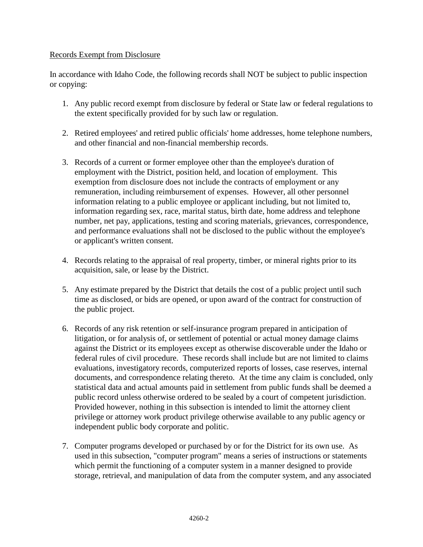## Records Exempt from Disclosure

In accordance with Idaho Code, the following records shall NOT be subject to public inspection or copying:

- 1. Any public record exempt from disclosure by federal or State law or federal regulations to the extent specifically provided for by such law or regulation.
- 2. Retired employees' and retired public officials' home addresses, home telephone numbers, and other financial and non-financial membership records.
- 3. Records of a current or former employee other than the employee's duration of employment with the District, position held, and location of employment. This exemption from disclosure does not include the contracts of employment or any remuneration, including reimbursement of expenses. However, all other personnel information relating to a public employee or applicant including, but not limited to, information regarding sex, race, marital status, birth date, home address and telephone number, net pay, applications, testing and scoring materials, grievances, correspondence, and performance evaluations shall not be disclosed to the public without the employee's or applicant's written consent.
- 4. Records relating to the appraisal of real property, timber, or mineral rights prior to its acquisition, sale, or lease by the District.
- 5. Any estimate prepared by the District that details the cost of a public project until such time as disclosed, or bids are opened, or upon award of the contract for construction of the public project.
- 6. Records of any risk retention or self-insurance program prepared in anticipation of litigation, or for analysis of, or settlement of potential or actual money damage claims against the District or its employees except as otherwise discoverable under the Idaho or federal rules of civil procedure. These records shall include but are not limited to claims evaluations, investigatory records, computerized reports of losses, case reserves, internal documents, and correspondence relating thereto. At the time any claim is concluded, only statistical data and actual amounts paid in settlement from public funds shall be deemed a public record unless otherwise ordered to be sealed by a court of competent jurisdiction. Provided however, nothing in this subsection is intended to limit the attorney client privilege or attorney work product privilege otherwise available to any public agency or independent public body corporate and politic.
- 7. Computer programs developed or purchased by or for the District for its own use. As used in this subsection, "computer program" means a series of instructions or statements which permit the functioning of a computer system in a manner designed to provide storage, retrieval, and manipulation of data from the computer system, and any associated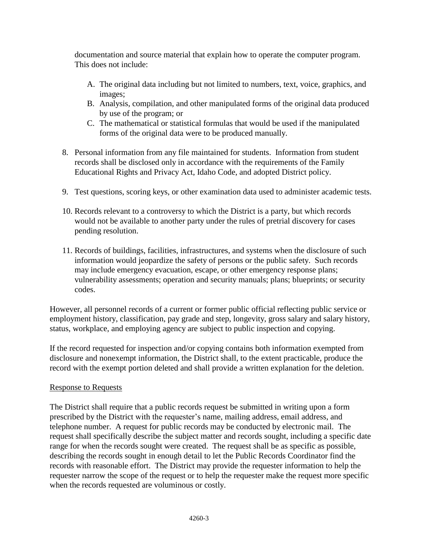documentation and source material that explain how to operate the computer program. This does not include:

- A. The original data including but not limited to numbers, text, voice, graphics, and images;
- B. Analysis, compilation, and other manipulated forms of the original data produced by use of the program; or
- C. The mathematical or statistical formulas that would be used if the manipulated forms of the original data were to be produced manually.
- 8. Personal information from any file maintained for students. Information from student records shall be disclosed only in accordance with the requirements of the Family Educational Rights and Privacy Act, Idaho Code, and adopted District policy.
- 9. Test questions, scoring keys, or other examination data used to administer academic tests.
- 10. Records relevant to a controversy to which the District is a party, but which records would not be available to another party under the rules of pretrial discovery for cases pending resolution.
- 11. Records of buildings, facilities, infrastructures, and systems when the disclosure of such information would jeopardize the safety of persons or the public safety. Such records may include emergency evacuation, escape, or other emergency response plans; vulnerability assessments; operation and security manuals; plans; blueprints; or security codes.

However, all personnel records of a current or former public official reflecting public service or employment history, classification, pay grade and step, longevity, gross salary and salary history, status, workplace, and employing agency are subject to public inspection and copying.

If the record requested for inspection and/or copying contains both information exempted from disclosure and nonexempt information, the District shall, to the extent practicable, produce the record with the exempt portion deleted and shall provide a written explanation for the deletion.

## Response to Requests

The District shall require that a public records request be submitted in writing upon a form prescribed by the District with the requester's name, mailing address, email address, and telephone number. A request for public records may be conducted by electronic mail. The request shall specifically describe the subject matter and records sought, including a specific date range for when the records sought were created. The request shall be as specific as possible, describing the records sought in enough detail to let the Public Records Coordinator find the records with reasonable effort. The District may provide the requester information to help the requester narrow the scope of the request or to help the requester make the request more specific when the records requested are voluminous or costly.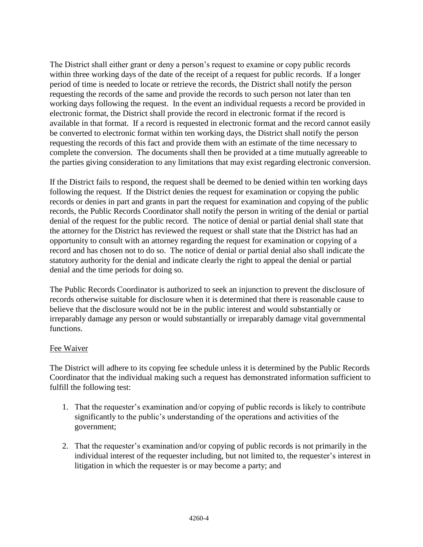The District shall either grant or deny a person's request to examine or copy public records within three working days of the date of the receipt of a request for public records. If a longer period of time is needed to locate or retrieve the records, the District shall notify the person requesting the records of the same and provide the records to such person not later than ten working days following the request. In the event an individual requests a record be provided in electronic format, the District shall provide the record in electronic format if the record is available in that format. If a record is requested in electronic format and the record cannot easily be converted to electronic format within ten working days, the District shall notify the person requesting the records of this fact and provide them with an estimate of the time necessary to complete the conversion. The documents shall then be provided at a time mutually agreeable to the parties giving consideration to any limitations that may exist regarding electronic conversion.

If the District fails to respond, the request shall be deemed to be denied within ten working days following the request. If the District denies the request for examination or copying the public records or denies in part and grants in part the request for examination and copying of the public records, the Public Records Coordinator shall notify the person in writing of the denial or partial denial of the request for the public record. The notice of denial or partial denial shall state that the attorney for the District has reviewed the request or shall state that the District has had an opportunity to consult with an attorney regarding the request for examination or copying of a record and has chosen not to do so. The notice of denial or partial denial also shall indicate the statutory authority for the denial and indicate clearly the right to appeal the denial or partial denial and the time periods for doing so.

The Public Records Coordinator is authorized to seek an injunction to prevent the disclosure of records otherwise suitable for disclosure when it is determined that there is reasonable cause to believe that the disclosure would not be in the public interest and would substantially or irreparably damage any person or would substantially or irreparably damage vital governmental functions.

## Fee Waiver

The District will adhere to its copying fee schedule unless it is determined by the Public Records Coordinator that the individual making such a request has demonstrated information sufficient to fulfill the following test:

- 1. That the requester's examination and/or copying of public records is likely to contribute significantly to the public's understanding of the operations and activities of the government;
- 2. That the requester's examination and/or copying of public records is not primarily in the individual interest of the requester including, but not limited to, the requester's interest in litigation in which the requester is or may become a party; and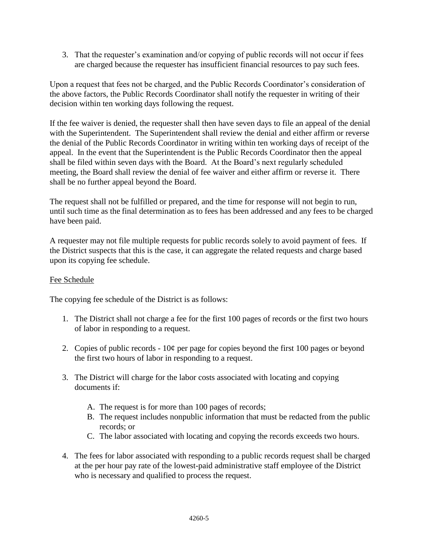3. That the requester's examination and/or copying of public records will not occur if fees are charged because the requester has insufficient financial resources to pay such fees.

Upon a request that fees not be charged, and the Public Records Coordinator's consideration of the above factors, the Public Records Coordinator shall notify the requester in writing of their decision within ten working days following the request.

If the fee waiver is denied, the requester shall then have seven days to file an appeal of the denial with the Superintendent. The Superintendent shall review the denial and either affirm or reverse the denial of the Public Records Coordinator in writing within ten working days of receipt of the appeal. In the event that the Superintendent is the Public Records Coordinator then the appeal shall be filed within seven days with the Board. At the Board's next regularly scheduled meeting, the Board shall review the denial of fee waiver and either affirm or reverse it. There shall be no further appeal beyond the Board.

The request shall not be fulfilled or prepared, and the time for response will not begin to run, until such time as the final determination as to fees has been addressed and any fees to be charged have been paid.

A requester may not file multiple requests for public records solely to avoid payment of fees. If the District suspects that this is the case, it can aggregate the related requests and charge based upon its copying fee schedule.

## Fee Schedule

The copying fee schedule of the District is as follows:

- 1. The District shall not charge a fee for the first 100 pages of records or the first two hours of labor in responding to a request.
- 2. Copies of public records 10¢ per page for copies beyond the first 100 pages or beyond the first two hours of labor in responding to a request.
- 3. The District will charge for the labor costs associated with locating and copying documents if:
	- A. The request is for more than 100 pages of records;
	- B. The request includes nonpublic information that must be redacted from the public records; or
	- C. The labor associated with locating and copying the records exceeds two hours.
- 4. The fees for labor associated with responding to a public records request shall be charged at the per hour pay rate of the lowest-paid administrative staff employee of the District who is necessary and qualified to process the request.